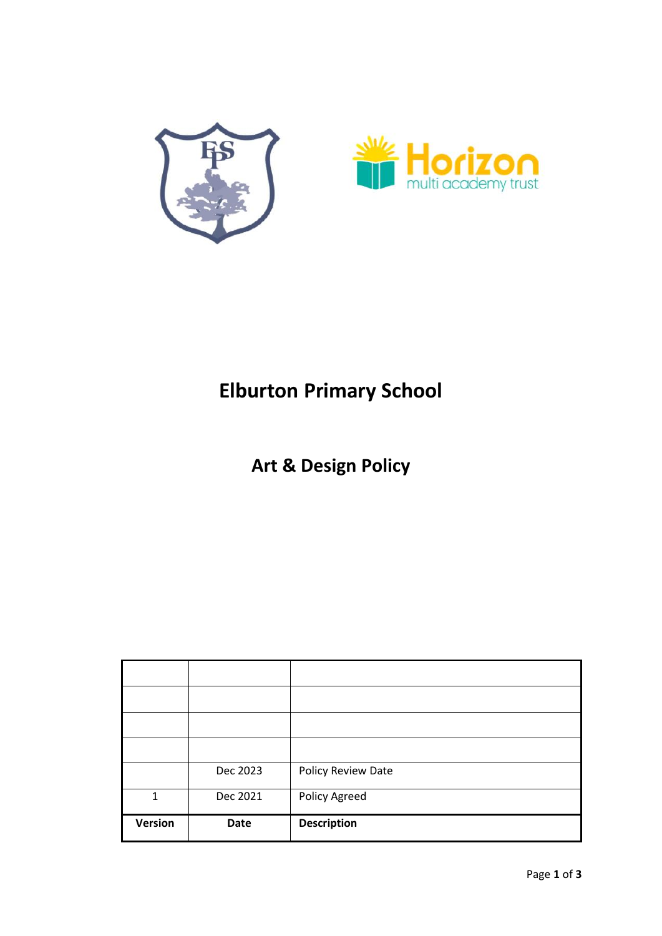



# **Elburton Primary School**

**Art & Design Policy** 

|                | Dec 2023    | Policy Review Date |
|----------------|-------------|--------------------|
| 1              | Dec 2021    | Policy Agreed      |
| <b>Version</b> | <b>Date</b> | <b>Description</b> |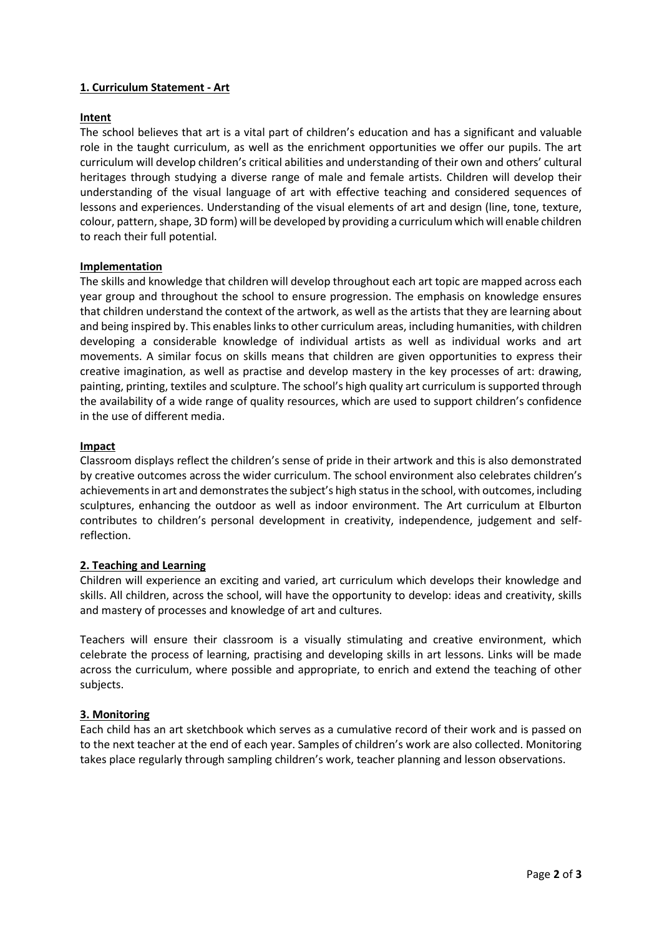## **1. Curriculum Statement - Art**

#### **Intent**

The school believes that art is a vital part of children's education and has a significant and valuable role in the taught curriculum, as well as the enrichment opportunities we offer our pupils. The art curriculum will develop children's critical abilities and understanding of their own and others' cultural heritages through studying a diverse range of male and female artists. Children will develop their understanding of the visual language of art with effective teaching and considered sequences of lessons and experiences. Understanding of the visual elements of art and design (line, tone, texture, colour, pattern, shape, 3D form) will be developed by providing a curriculum which will enable children to reach their full potential.

#### **Implementation**

The skills and knowledge that children will develop throughout each art topic are mapped across each year group and throughout the school to ensure progression. The emphasis on knowledge ensures that children understand the context of the artwork, as well as the artists that they are learning about and being inspired by. This enables links to other curriculum areas, including humanities, with children developing a considerable knowledge of individual artists as well as individual works and art movements. A similar focus on skills means that children are given opportunities to express their creative imagination, as well as practise and develop mastery in the key processes of art: drawing, painting, printing, textiles and sculpture. The school's high quality art curriculum is supported through the availability of a wide range of quality resources, which are used to support children's confidence in the use of different media.

#### **Impact**

Classroom displays reflect the children's sense of pride in their artwork and this is also demonstrated by creative outcomes across the wider curriculum. The school environment also celebrates children's achievements in art and demonstrates the subject's high status in the school, with outcomes, including sculptures, enhancing the outdoor as well as indoor environment. The Art curriculum at Elburton contributes to children's personal development in creativity, independence, judgement and selfreflection.

#### **2. Teaching and Learning**

Children will experience an exciting and varied, art curriculum which develops their knowledge and skills. All children, across the school, will have the opportunity to develop: ideas and creativity, skills and mastery of processes and knowledge of art and cultures.

Teachers will ensure their classroom is a visually stimulating and creative environment, which celebrate the process of learning, practising and developing skills in art lessons. Links will be made across the curriculum, where possible and appropriate, to enrich and extend the teaching of other subjects.

#### **3. Monitoring**

Each child has an art sketchbook which serves as a cumulative record of their work and is passed on to the next teacher at the end of each year. Samples of children's work are also collected. Monitoring takes place regularly through sampling children's work, teacher planning and lesson observations.